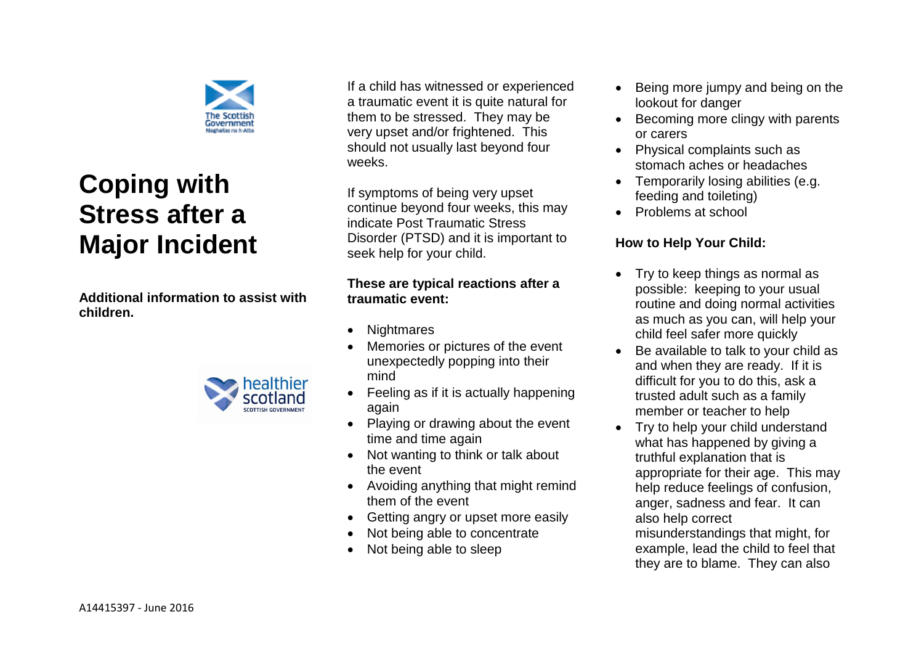

# **Coping with Stress after a Major Incident**

**Additional information to assist with children.** 



If a child has witnessed or experienced a traumatic event it is quite natural for them to be stressed. They may be very upset and/or frightened. This should not usually last beyond four weeks.

If symptoms of being very upset continue beyond four weeks, this may indicate Post Traumatic Stress Disorder (PTSD) and it is important to seek help for your child.

## **These are typical reactions after a traumatic event:**

- Nightmares
- Memories or pictures of the event unexpectedly popping into their mind
- Feeling as if it is actually happening again
- Playing or drawing about the event time and time again
- Not wanting to think or talk about the event
- Avoiding anything that might remind them of the event
- Getting angry or upset more easily
- Not being able to concentrate
- Not being able to sleep
- Being more jumpy and being on the lookout for danger
- Becoming more clingy with parents or carers
- Physical complaints such as stomach aches or headaches
- Temporarily losing abilities (e.g. feeding and toileting)
- Problems at school

## **How to Help Your Child:**

- Try to keep things as normal as possible: keeping to your usual routine and doing normal activities as much as you can, will help your child feel safer more quickly
- Be available to talk to your child as and when they are ready. If it is difficult for you to do this, ask a trusted adult such as a family member or teacher to help
- Try to help your child understand what has happened by giving a truthful explanation that is appropriate for their age. This may help reduce feelings of confusion, anger, sadness and fear. It can also help correct

misunderstandings that might, for example, lead the child to feel that they are to blame. They can also